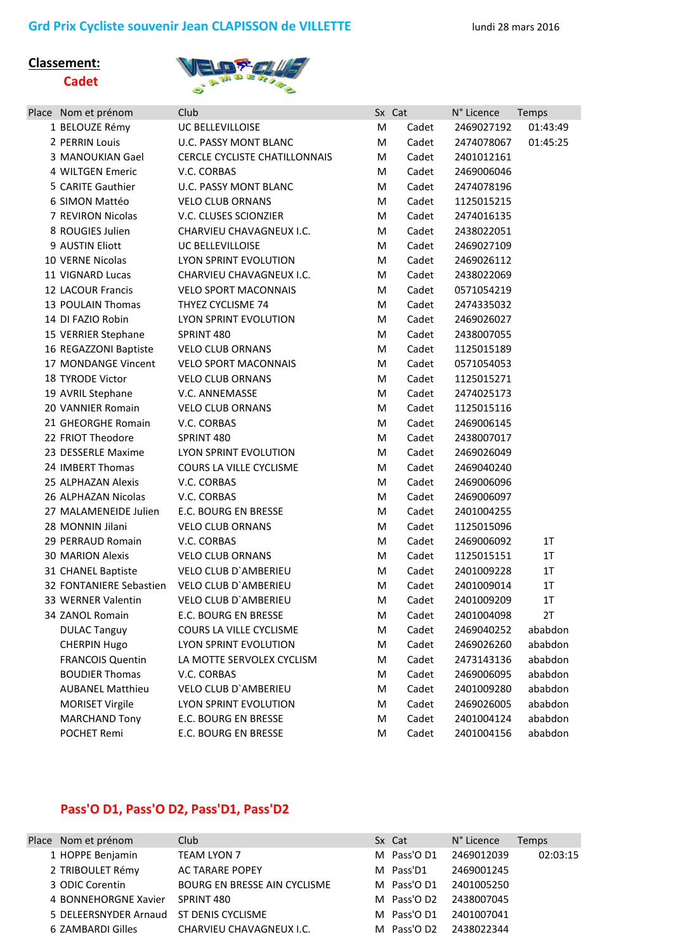## **Classement: Cadet**



| Place Nom et prénom     | Club                          | Sx Cat |       | N° Licence | Temps    |
|-------------------------|-------------------------------|--------|-------|------------|----------|
| 1 BELOUZE Rémy          | UC BELLEVILLOISE              | M      | Cadet | 2469027192 | 01:43:49 |
| 2 PERRIN Louis          | U.C. PASSY MONT BLANC         | M      | Cadet | 2474078067 | 01:45:25 |
| 3 MANOUKIAN Gael        | CERCLE CYCLISTE CHATILLONNAIS | M      | Cadet | 2401012161 |          |
| 4 WILTGEN Emeric        | V.C. CORBAS                   | M      | Cadet | 2469006046 |          |
| 5 CARITE Gauthier       | <b>U.C. PASSY MONT BLANC</b>  | M      | Cadet | 2474078196 |          |
| 6 SIMON Mattéo          | <b>VELO CLUB ORNANS</b>       | M      | Cadet | 1125015215 |          |
| 7 REVIRON Nicolas       | V.C. CLUSES SCIONZIER         | M      | Cadet | 2474016135 |          |
| 8 ROUGIES Julien        | CHARVIEU CHAVAGNEUX I.C.      | M      | Cadet | 2438022051 |          |
| 9 AUSTIN Eliott         | UC BELLEVILLOISE              | M      | Cadet | 2469027109 |          |
| 10 VERNE Nicolas        | LYON SPRINT EVOLUTION         | M      | Cadet | 2469026112 |          |
| 11 VIGNARD Lucas        | CHARVIEU CHAVAGNEUX I.C.      | M      | Cadet | 2438022069 |          |
| 12 LACOUR Francis       | <b>VELO SPORT MACONNAIS</b>   | M      | Cadet | 0571054219 |          |
| 13 POULAIN Thomas       | THYEZ CYCLISME 74             | M      | Cadet | 2474335032 |          |
| 14 DI FAZIO Robin       | LYON SPRINT EVOLUTION         | M      | Cadet | 2469026027 |          |
| 15 VERRIER Stephane     | SPRINT 480                    | M      | Cadet | 2438007055 |          |
| 16 REGAZZONI Baptiste   | <b>VELO CLUB ORNANS</b>       | M      | Cadet | 1125015189 |          |
| 17 MONDANGE Vincent     | <b>VELO SPORT MACONNAIS</b>   | M      | Cadet | 0571054053 |          |
| 18 TYRODE Victor        | <b>VELO CLUB ORNANS</b>       | M      | Cadet | 1125015271 |          |
| 19 AVRIL Stephane       | V.C. ANNEMASSE                | M      | Cadet | 2474025173 |          |
| 20 VANNIER Romain       | <b>VELO CLUB ORNANS</b>       | M      | Cadet | 1125015116 |          |
| 21 GHEORGHE Romain      | V.C. CORBAS                   | M      | Cadet | 2469006145 |          |
| 22 FRIOT Theodore       | SPRINT 480                    | M      | Cadet | 2438007017 |          |
| 23 DESSERLE Maxime      | LYON SPRINT EVOLUTION         | M      | Cadet | 2469026049 |          |
| 24 IMBERT Thomas        | COURS LA VILLE CYCLISME       | M      | Cadet | 2469040240 |          |
| 25 ALPHAZAN Alexis      | V.C. CORBAS                   | M      | Cadet | 2469006096 |          |
| 26 ALPHAZAN Nicolas     | V.C. CORBAS                   | M      | Cadet | 2469006097 |          |
| 27 MALAMENEIDE Julien   | E.C. BOURG EN BRESSE          | M      | Cadet | 2401004255 |          |
| 28 MONNIN Jilani        | <b>VELO CLUB ORNANS</b>       | M      | Cadet | 1125015096 |          |
| 29 PERRAUD Romain       | V.C. CORBAS                   | M      | Cadet | 2469006092 | 1T       |
| <b>30 MARION Alexis</b> | <b>VELO CLUB ORNANS</b>       | M      | Cadet | 1125015151 | 1T       |
| 31 CHANEL Baptiste      | VELO CLUB D'AMBERIEU          | M      | Cadet | 2401009228 | 1T       |
| 32 FONTANIERE Sebastien | VELO CLUB D'AMBERIEU          | M      | Cadet | 2401009014 | 1T       |
| 33 WERNER Valentin      | VELO CLUB D'AMBERIEU          | M      | Cadet | 2401009209 | 1T       |
| 34 ZANOL Romain         | E.C. BOURG EN BRESSE          | M      | Cadet | 2401004098 | 2T       |
| <b>DULAC Tanguy</b>     | COURS LA VILLE CYCLISME       | M      | Cadet | 2469040252 | ababdon  |
| <b>CHERPIN Hugo</b>     | LYON SPRINT EVOLUTION         | M      | Cadet | 2469026260 | ababdon  |
| <b>FRANCOIS Quentin</b> | LA MOTTE SERVOLEX CYCLISM     | M      | Cadet | 2473143136 | ababdon  |
| <b>BOUDIER Thomas</b>   | V.C. CORBAS                   | M      | Cadet | 2469006095 | ababdon  |
| <b>AUBANEL Matthieu</b> | VELO CLUB D'AMBERIEU          | M      | Cadet | 2401009280 | ababdon  |
| <b>MORISET Virgile</b>  | LYON SPRINT EVOLUTION         | M      | Cadet | 2469026005 | ababdon  |
| <b>MARCHAND Tony</b>    | E.C. BOURG EN BRESSE          | M      | Cadet | 2401004124 | ababdon  |
| POCHET Remi             | E.C. BOURG EN BRESSE          | M      | Cadet | 2401004156 | ababdon  |

## **Pass'O D1, Pass'O D2, Pass'D1, Pass'D2**

| Place Nom et prénom                     | Club                                | Sx Cat      | N° Licence | <b>Temps</b> |
|-----------------------------------------|-------------------------------------|-------------|------------|--------------|
| 1 HOPPE Benjamin                        | <b>TEAM LYON 7</b>                  | M Pass'O D1 | 2469012039 | 02:03:15     |
| 2 TRIBOULET Rémy                        | <b>AC TARARE POPEY</b>              | M Pass'D1   | 2469001245 |              |
| 3 ODIC Corentin                         | <b>BOURG EN BRESSE AIN CYCLISME</b> | M Pass'O D1 | 2401005250 |              |
| 4 BONNEHORGNE Xavier                    | SPRINT 480                          | M Pass'O D2 | 2438007045 |              |
| 5 DELEERSNYDER Arnaud ST DENIS CYCLISME |                                     | M Pass'O D1 | 2401007041 |              |
| 6 ZAMBARDI Gilles                       | CHARVIEU CHAVAGNEUX I.C.            | M Pass'O D2 | 2438022344 |              |
|                                         |                                     |             |            |              |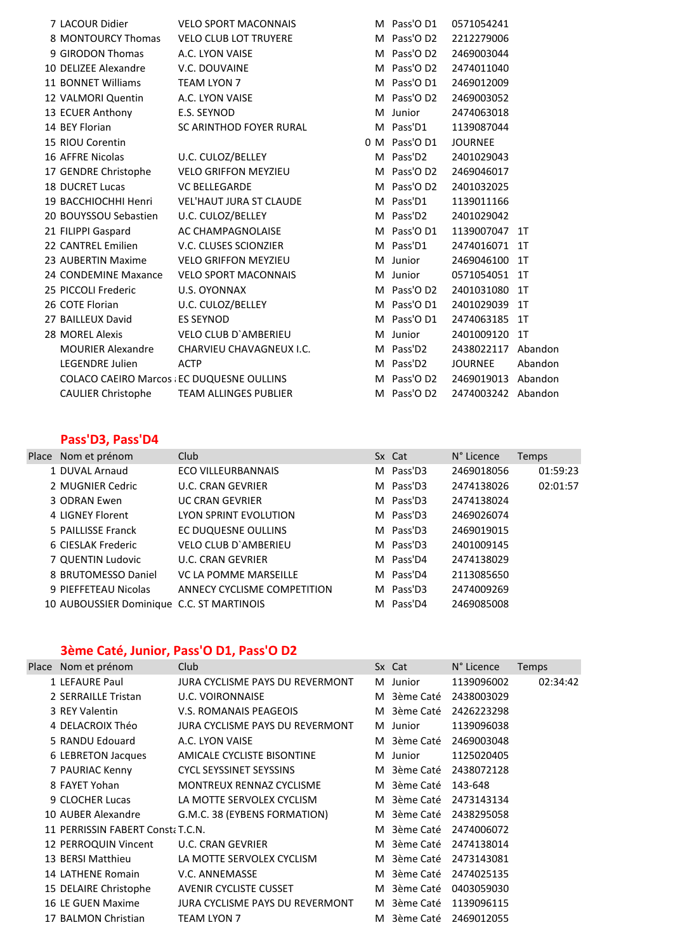| 7 LACOUR Didier           | <b>VELO SPORT MACONNAIS</b>                       | M Pass'O D1   | 0571054241         |                |
|---------------------------|---------------------------------------------------|---------------|--------------------|----------------|
| 8 MONTOURCY Thomas        | <b>VELO CLUB LOT TRUYERE</b>                      | M Pass'O D2   | 2212279006         |                |
| 9 GIRODON Thomas          | A.C. LYON VAISE                                   | M Pass'O D2   | 2469003044         |                |
| 10 DELIZEE Alexandre      | V.C. DOUVAINE                                     | M Pass'O D2   | 2474011040         |                |
| 11 BONNET Williams        | <b>TEAM LYON 7</b>                                | M Pass'O D1   | 2469012009         |                |
| 12 VALMORI Quentin        | A.C. LYON VAISE                                   | M Pass'O D2   | 2469003052         |                |
| 13 ECUER Anthony          | E.S. SEYNOD                                       | M Junior      | 2474063018         |                |
| 14 BEY Florian            | SC ARINTHOD FOYER RURAL                           | M Pass'D1     | 1139087044         |                |
| 15 RIOU Corentin          |                                                   | 0 M Pass'O D1 | <b>JOURNEE</b>     |                |
| 16 AFFRE Nicolas          | U.C. CULOZ/BELLEY                                 | M Pass'D2     | 2401029043         |                |
| 17 GENDRE Christophe      | <b>VELO GRIFFON MEYZIEU</b>                       | M Pass'O D2   | 2469046017         |                |
| <b>18 DUCRET Lucas</b>    | <b>VC BELLEGARDE</b>                              | M Pass'O D2   | 2401032025         |                |
| 19 BACCHIOCHHI Henri      | <b>VEL'HAUT JURA ST CLAUDE</b>                    | M Pass'D1     | 1139011166         |                |
| 20 BOUYSSOU Sebastien     | U.C. CULOZ/BELLEY                                 | M Pass'D2     | 2401029042         |                |
| 21 FILIPPI Gaspard        | AC CHAMPAGNOLAISE                                 | M Pass'O D1   | 1139007047 1T      |                |
| 22 CANTREL Emilien        | V.C. CLUSES SCIONZIER                             | M Pass'D1     | 2474016071         | $1$ T          |
| 23 AUBERTIN Maxime        | <b>VELO GRIFFON MEYZIEU</b>                       | M Junior      | 2469046100         | $1$ T          |
| 24 CONDEMINE Maxance      | <b>VELO SPORT MACONNAIS</b>                       | M Junior      | 0571054051         | 1T             |
| 25 PICCOLI Frederic       | U.S. OYONNAX                                      | M Pass'O D2   | 2401031080         | 1T             |
| 26 COTE Florian           | U.C. CULOZ/BELLEY                                 | M Pass'O D1   | 2401029039         | 1 <sub>T</sub> |
| 27 BAILLEUX David         | <b>ES SEYNOD</b>                                  | M Pass'O D1   | 2474063185         | $1$ T          |
| 28 MOREL Alexis           | <b>VELO CLUB D'AMBERIEU</b>                       | M Junior      | 2401009120         | 1T             |
| <b>MOURIER Alexandre</b>  | CHARVIEU CHAVAGNEUX I.C.                          | M Pass'D2     | 2438022117         | Abandon        |
| <b>LEGENDRE Julien</b>    | <b>ACTP</b>                                       | M Pass'D2     | <b>JOURNEE</b>     | Abandon        |
|                           | <b>COLACO CAEIRO Marcos : EC DUQUESNE OULLINS</b> | M Pass'O D2   | 2469019013         | Abandon        |
| <b>CAULIER Christophe</b> | <b>TEAM ALLINGES PUBLIER</b>                      | M Pass'O D2   | 2474003242 Abandon |                |

## **Pass'D3, Pass'D4**

| Place Nom et prénom                       | <b>Club</b>                 | Sx Cat    | N° Licence | Temps    |
|-------------------------------------------|-----------------------------|-----------|------------|----------|
| 1 DUVAL Arnaud                            | <b>ECO VILLEURBANNAIS</b>   | M Pass'D3 | 2469018056 | 01:59:23 |
| 2 MUGNIER Cedric                          | <b>U.C. CRAN GEVRIER</b>    | M Pass'D3 | 2474138026 | 02:01:57 |
| 3 ODRAN Ewen                              | <b>UC CRAN GEVRIER</b>      | M Pass'D3 | 2474138024 |          |
| 4 LIGNEY Florent                          | LYON SPRINT EVOLUTION       | M Pass'D3 | 2469026074 |          |
| 5 PAILLISSE Franck                        | EC DUQUESNE OULLINS         | M Pass'D3 | 2469019015 |          |
| 6 CIESLAK Frederic                        | <b>VELO CLUB D'AMBERIEU</b> | M Pass'D3 | 2401009145 |          |
| 7 QUENTIN Ludovic                         | <b>U.C. CRAN GEVRIER</b>    | M Pass'D4 | 2474138029 |          |
| 8 BRUTOMESSO Daniel                       | VC LA POMME MARSEILLE       | M Pass'D4 | 2113085650 |          |
| 9 PIEFFETEAU Nicolas                      | ANNECY CYCLISME COMPETITION | M Pass'D3 | 2474009269 |          |
| 10 AUBOUSSIER Dominique C.C. ST MARTINOIS |                             | M Pass'D4 | 2469085008 |          |

## **3ème Caté, Junior, Pass'O D1, Pass'O D2**

| Place Nom et prénom              | Club                                   |   | Sx Cat      | N° Licence | <b>Temps</b> |
|----------------------------------|----------------------------------------|---|-------------|------------|--------------|
| 1 LEFAURE Paul                   | <b>JURA CYCLISME PAYS DU REVERMONT</b> |   | M Junior    | 1139096002 | 02:34:42     |
| 2 SERRAILLE Tristan              | <b>U.C. VOIRONNAISE</b>                |   | M 3ème Caté | 2438003029 |              |
| 3 REY Valentin                   | <b>V.S. ROMANAIS PEAGEOIS</b>          | M | 3ème Caté   | 2426223298 |              |
| 4 DELACROIX Théo                 | <b>JURA CYCLISME PAYS DU REVERMONT</b> | M | Junior      | 1139096038 |              |
| 5 RANDU Edouard                  | A.C. LYON VAISE                        |   | M 3ème Caté | 2469003048 |              |
| 6 LEBRETON Jacques               | AMICALE CYCLISTE BISONTINE             |   | M Junior    | 1125020405 |              |
| 7 PAURIAC Kenny                  | <b>CYCL SEYSSINET SEYSSINS</b>         |   | M 3ème Caté | 2438072128 |              |
| 8 FAYET Yohan                    | <b>MONTREUX RENNAZ CYCLISME</b>        |   | M 3ème Caté | 143-648    |              |
| 9 CLOCHER Lucas                  | LA MOTTE SERVOLEX CYCLISM              | M | 3ème Caté   | 2473143134 |              |
| 10 AUBER Alexandre               | G.M.C. 38 (EYBENS FORMATION)           |   | M 3ème Caté | 2438295058 |              |
| 11 PERRISSIN FABERT ConstaT.C.N. |                                        |   | M 3ème Caté | 2474006072 |              |
| 12 PERROQUIN Vincent             | U.C. CRAN GEVRIER                      | M | 3ème Caté   | 2474138014 |              |
| 13 BERSI Matthieu                | LA MOTTE SERVOLEX CYCLISM              |   | M 3ème Caté | 2473143081 |              |
| 14 LATHENE Romain                | V.C. ANNEMASSE                         | м | 3ème Caté   | 2474025135 |              |
| 15 DELAIRE Christophe            | AVENIR CYCLISTE CUSSET                 | м | 3ème Caté   | 0403059030 |              |
| 16 LE GUEN Maxime                | <b>JURA CYCLISME PAYS DU REVERMONT</b> | M | 3ème Caté   | 1139096115 |              |
| 17 BALMON Christian              | <b>TEAM LYON 7</b>                     | M | 3ème Caté   | 2469012055 |              |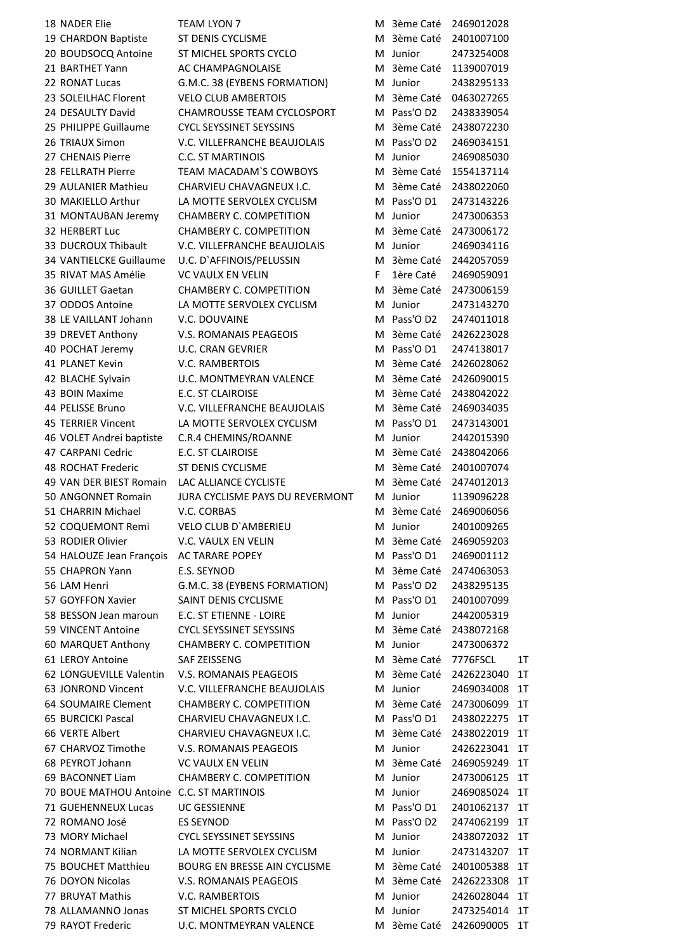18 NADER Elie TEAM LYON 7 M 3ème Caté 2469012028 19 CHARDON Baptiste ST DENIS CYCLISME M 3ème Caté 2401007100 20 BOUDSOCQ Antoine ST MICHEL SPORTS CYCLO M Junior 2473254008 21 BARTHET Yann AC CHAMPAGNOLAISE M3ème Caté 1139007019 22 RONAT Lucas G.M.C. 38 (EYBENS FORMATION) M Junior 2438295133 23 SOLEILHAC Florent VELO CLUB AMBERTOIS M3ème Caté 0463027265 24 DESAULTY David CHAMROUSSE TEAM CYCLOSPORT M Pass'O D2 2438339054 25 PHILIPPE Guillaume CYCL SEYSSINET SEYSSINS Manual Assets 2438072230 26 TRIAUX Simon V.C. VILLEFRANCHE BEAUJOLAIS M Pass'O D2 2469034151 27 CHENAIS Pierre C.C. ST MARTINOIS Munior 2469085030 28 FELLRATH Pierre TEAM MACADAM`S COWBOYS Many 3ème Caté 1554137114 29 AULANIER Mathieu CHARVIEU CHAVAGNEUX I.C. M 3ème Caté 2438022060 30 MAKIELLO Arthur LA MOTTE SERVOLEX CYCLISM M Pass'O D1 2473143226 31 MONTAUBAN Jeremy CHAMBERY C. COMPETITION Munior 2473006353 32 HERBERT Luc CHAMBERY C. COMPETITION M 3ème Caté 2473006172 33 DUCROUX Thibault V.C. VILLEFRANCHE BEAUJOLAIS Munior 2469034116 34 VANTIELCKE Guillaume U.C. D`AFFINOIS/PELUSSIN M 3ème Caté 2442057059 35 RIVAT MAS Amélie VC VAULX EN VELIN Filère Caté 2469059091 36 GUILLET Gaetan CHAMBERY C. COMPETITION M 3ème Caté 2473006159 37 ODDOS Antoine LA MOTTE SERVOLEX CYCLISM M Junior 2473143270 38 LE VAILLANT Johann V.C. DOUVAINE M AND M Pass'O D2 2474011018 39 DREVET Anthony V.S. ROMANAIS PEAGEOIS M 3ème Caté 2426223028 40 POCHAT Jeremy U.C. CRAN GEVRIER M Pass'O D1 2474138017 41 PLANET Kevin **Markt COVERTS V.C. RAMBERTOIS** Markt Markt Markt 2426028062 42 BLACHE Sylvain U.C. MONTMEYRAN VALENCE M 3ème Caté 2426090015 43 BOIN Maxime **E.C. ST CLAIROISE** M 3ème Caté 2438042022 44 PELISSE Bruno V.C. VILLEFRANCHE BEAUJOLAIS M 3ème Caté 2469034035 45 TERRIER Vincent LA MOTTE SERVOLEX CYCLISM M Pass'O D1 2473143001 46 VOLET Andrei baptiste C.R.4 CHEMINS/ROANNE M Junior 2442015390 47 CARPANI Cedric **E.C. ST CLAIROISE** M 3ème Caté 2438042066 48 ROCHAT Frederic ST DENIS CYCLISME M 3ème Caté 2401007074 49 VAN DER BIEST Romain LAC ALLIANCE CYCLISTE M 3ème Caté 2474012013 50 ANGONNET Romain JURA CYCLISME PAYS DU REVERMONT M Junior 1139096228 51 CHARRIN Michael M.C. CORBAS M. 2006056 52 COQUEMONT Remi VELO CLUB D`AMBERIEU M Junior 2401009265 53 RODIER Olivier V.C. VAULX EN VELIN M 3ème Caté 2469059203 54 HALOUZE Jean François AC TARARE POPEY M Pass'O D1 2469001112 55 CHAPRON Yann E.S. SEYNOD M 3ème Caté 2474063053 56 LAM Henri G.M.C. 38 (EYBENS FORMATION) M Pass'O D2 2438295135 57 GOYFFON Xavier SAINT DENIS CYCLISME M Pass'O D1 2401007099 58 BESSON Jean maroun E.C. ST ETIENNE - LOIRE Manual Manual Munior 2442005319 59 VINCENT Antoine CYCL SEYSSINET SEYSSINS Manual Astero Caté 2438072168 60 MARQUET Anthony CHAMBERY C. COMPETITION M Junior 2473006372 61 LEROY Antoine SAF ZEISSENG M 3ème Caté 7776FSCL 1T 62 LONGUEVILLE Valentin V.S. ROMANAIS PEAGEOIS M 3ème Caté 2426223040 1T 63 JONROND Vincent V.C. VILLEFRANCHE BEAUJOLAIS M Junior 2469034008 1T 64 SOUMAIRE Clement CHAMBERY C. COMPETITION M 3ème Caté 2473006099 1T 65 BURCICKI Pascal CHARVIEU CHAVAGNEUX I.C. M Pass'O D1 2438022275 1T 66 VERTE Albert CHARVIEU CHAVAGNEUX I.C. M 3ème Caté 2438022019 1T 67 CHARVOZ Timothe V.S. ROMANAIS PEAGEOIS M Junior 2426223041 1T 68 PEYROT Johann VC VAULX EN VELIN M 3ème Caté 2469059249 1T 69 BACONNET Liam CHAMBERY C. COMPETITION M Junior 2473006125 1T 70 BOUE MATHOU Antoine C.C. ST MARTINOIS METALLY MILL MINIORAL 2469085024 1T 71 GUEHENNEUX Lucas UC GESSIENNE M M Pass'O D1 2401062137 1T 72 ROMANO José ES SEYNOD M Pass'O D2 2474062199 1T 73 MORY Michael CYCL SEYSSINET SEYSSINS M Junior 2438072032 1T 74 NORMANT Kilian LA MOTTE SERVOLEX CYCLISM M Junior 2473143207 1T 75 BOUCHET Matthieu BOURG EN BRESSE AIN CYCLISME M 3ème Caté 2401005388 1T 76 DOYON Nicolas V.S. ROMANAIS PEAGEOIS Manual Astro Caté 2426223308 1T 77 BRUYAT Mathis V.C. RAMBERTOIS M Junior 2426028044 1T 78 ALLAMANNO Jonas ST MICHEL SPORTS CYCLO M Junior 2473254014 1T

79 RAYOT Frederic **U.C. MONTMEYRAN VALENCE** M 3ème Caté 2426090005 1T